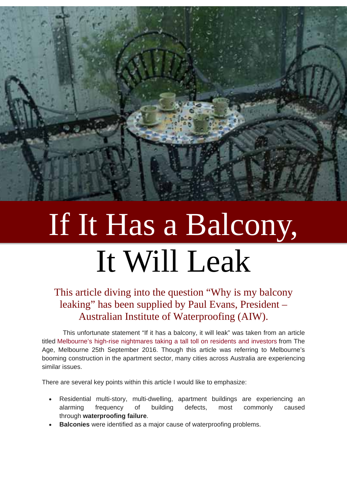

# If It Has a Balcony, It Will Leak

#### This article diving into the question "Why is my balcony leaking" has been supplied by Paul Evans, President – Australian Institute of Waterproofing (AIW).

This unfortunate statement "If it has a balcony, it will leak" was taken from an article titled [Melbourne's high-rise nightmares taking a tall toll on residents and investors](http://www.theage.com.au/victoria/melbournes-highrise-nightmares-taking-a-tall-toll-on-residents-and-investors-20160916-gri6l4.html) from The Age, Melbourne 25th September 2016. Though this article was referring to Melbourne's booming construction in the apartment sector, many cities across Australia are experiencing similar issues.

There are several key points within this article I would like to emphasize:

- Residential multi-story, multi-dwelling, apartment buildings are experiencing an alarming frequency of building defects, most commonly caused through **waterproofing failure**.
- **Balconies** were identified as a major cause of waterproofing problems.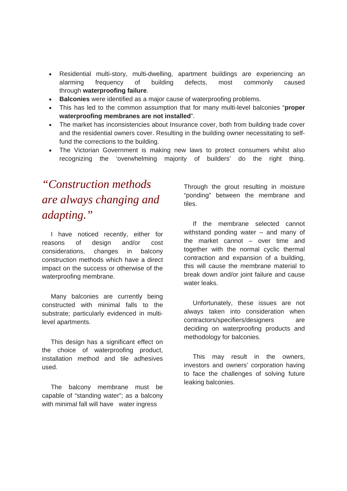- Residential multi-story, multi-dwelling, apartment buildings are experiencing an alarming frequency of building defects, most commonly caused through **waterproofing failure**.
- **Balconies** were identified as a major cause of waterproofing problems.
- This has led to the common assumption that for many multi-level balconies "**proper waterproofing membranes are not installed**".
- The market has inconsistencies about Insurance cover, both from building trade cover and the residential owners cover. Resulting in the building owner necessitating to selffund the corrections to the building.
- The Victorian Government is making new laws to protect consumers whilst also recognizing the 'overwhelming majority of builders' do the right thing.

## *"Construction methods are always changing and adapting."*

 I have noticed recently, either for reasons of design and/or cost considerations, changes in balcony construction methods which have a direct impact on the success or otherwise of the waterproofing membrane.

 Many balconies are currently being constructed with minimal falls to the substrate; particularly evidenced in multilevel apartments.

 This design has a significant effect on the choice of waterproofing product, installation method and tile adhesives used.

 The balcony membrane must be capable of "standing water"; as a balcony with minimal fall will have water ingress

Through the grout resulting in moisture "ponding" between the membrane and tiles.

 If the membrane selected cannot withstand ponding water – and many of the market cannot – over time and together with the normal cyclic thermal contraction and expansion of a building, this will cause the membrane material to break down and/or joint failure and cause water leaks.

 Unfortunately, these issues are not always taken into consideration when contractors/specifiers/designers are deciding on waterproofing products and methodology for balconies.

 This may result in the owners, investors and owners' corporation having to face the challenges of solving future leaking balconies.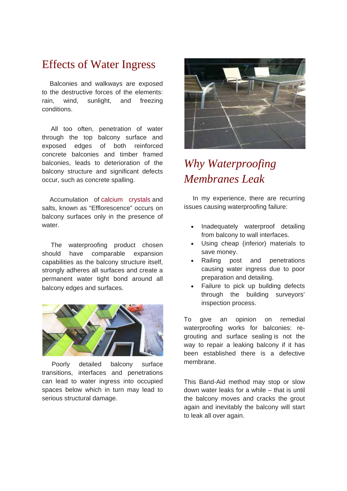#### Effects of Water Ingress

 Balconies and walkways are exposed to the destructive forces of the elements: rain, wind, sunlight, and freezing conditions.

 All too often, penetration of water through the top balcony surface and exposed edges of both reinforced concrete balconies and timber framed balconies, leads to deterioration of the balcony structure and significant defects occur, such as concrete spalling.

 Accumulation of [calcium crystals](https://en.wikipedia.org/wiki/Calcium_oxalate) and salts, known as "Efflorescence" occurs on balcony surfaces only in the presence of water.

 The waterproofing product chosen should have comparable expansion capabilities as the balcony structure itself, strongly adheres all surfaces and create a permanent water tight bond around all balcony edges and surfaces.



 Poorly detailed balcony surface transitions, interfaces and penetrations can lead to water ingress into occupied spaces below which in turn may lead to serious structural damage.



### *Why Waterproofing Membranes Leak*

 In my experience, there are recurring issues causing waterproofing failure:

- Inadequately waterproof detailing from balcony to wall interfaces.
- Using cheap (inferior) materials to save money.
- Railing post and penetrations causing water ingress due to poor preparation and detailing.
- Failure to pick up building defects through the building surveyors' inspection process.

To give an opinion on remedial waterproofing works for balconies: regrouting and surface sealing is not the way to repair a leaking balcony if it has been established there is a defective membrane.

This Band-Aid method may stop or slow down water leaks for a while – that is until the balcony moves and cracks the grout again and inevitably the balcony will start to leak all over again.